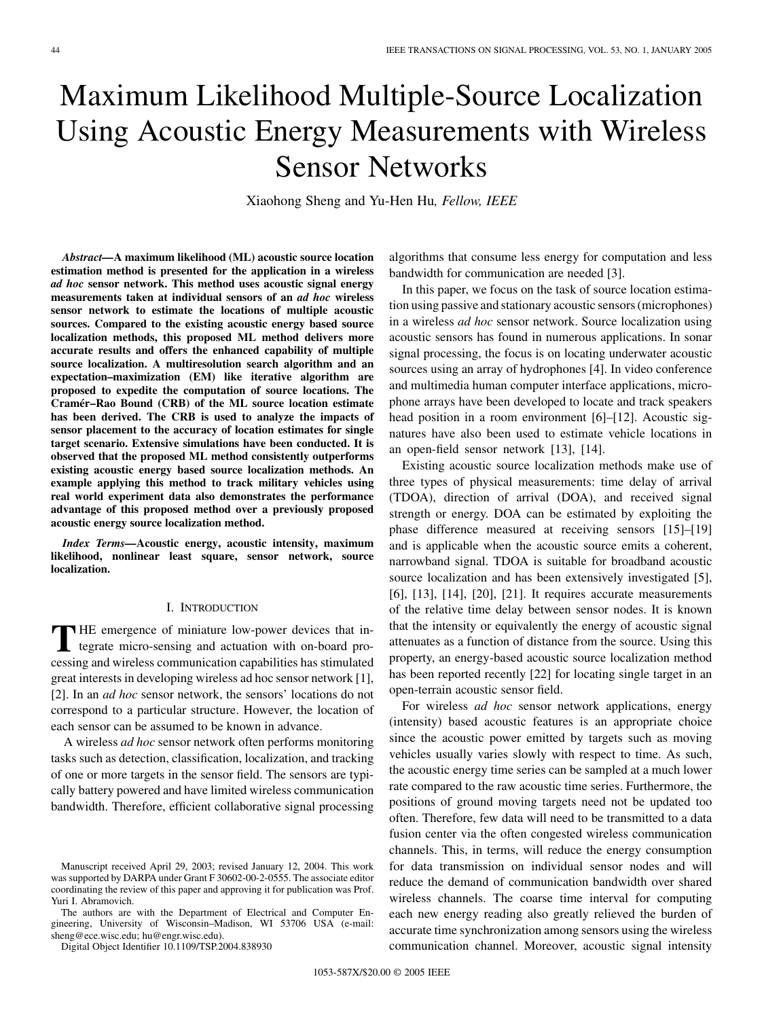# Maximum Likelihood Multiple-Source Localization Using Acoustic Energy Measurements with Wireless Sensor Networks

Xiaohong Sheng and Yu-Hen Hu*, Fellow, IEEE*

*Abstract—***A maximum likelihood (ML) acoustic source location estimation method is presented for the application in a wireless** *ad hoc* **sensor network. This method uses acoustic signal energy measurements taken at individual sensors of an** *ad hoc* **wireless sensor network to estimate the locations of multiple acoustic sources. Compared to the existing acoustic energy based source localization methods, this proposed ML method delivers more accurate results and offers the enhanced capability of multiple source localization. A multiresolution search algorithm and an expectation–maximization (EM) like iterative algorithm are proposed to expedite the computation of source locations. The Cramér–Rao Bound (CRB) of the ML source location estimate has been derived. The CRB is used to analyze the impacts of sensor placement to the accuracy of location estimates for single target scenario. Extensive simulations have been conducted. It is observed that the proposed ML method consistently outperforms existing acoustic energy based source localization methods. An example applying this method to track military vehicles using real world experiment data also demonstrates the performance advantage of this proposed method over a previously proposed acoustic energy source localization method.**

*Index Terms—***Acoustic energy, acoustic intensity, maximum likelihood, nonlinear least square, sensor network, source localization.**

## I. INTRODUCTION

**T** HE emergence of miniature low-power devices that integrate micro-sensing and actuation with on-board processing and wireless communication capabilities has stimulated great interests in developing wireless ad hoc sensor network [[1\]](#page-9-0), [[2\]](#page-9-0). In an *ad hoc* sensor network, the sensors' locations do not correspond to a particular structure. However, the location of each sensor can be assumed to be known in advance.

A wireless *ad hoc* sensor network often performs monitoring tasks such as detection, classification, localization, and tracking of one or more targets in the sensor field. The sensors are typically battery powered and have limited wireless communication bandwidth. Therefore, efficient collaborative signal processing

The authors are with the Department of Electrical and Computer Engineering, University of Wisconsin–Madison, WI 53706 USA (e-mail: sheng@ece.wisc.edu; hu@engr.wisc.edu).

Digital Object Identifier 10.1109/TSP.2004.838930

algorithms that consume less energy for computation and less bandwidth for communication are needed [\[3](#page-9-0)].

In this paper, we focus on the task of source location estimation using passive and stationary acoustic sensors (microphones) in a wireless *ad hoc* sensor network. Source localization using acoustic sensors has found in numerous applications. In sonar signal processing, the focus is on locating underwater acoustic sources using an array of hydrophones [\[4](#page-9-0)]. In video conference and multimedia human computer interface applications, microphone arrays have been developed to locate and track speakers head position in a room environment [\[6](#page-9-0)]–[[12\]](#page-9-0). Acoustic signatures have also been used to estimate vehicle locations in an open-field sensor network [\[13](#page-9-0)], [[14\]](#page-9-0).

Existing acoustic source localization methods make use of three types of physical measurements: time delay of arrival (TDOA), direction of arrival (DOA), and received signal strength or energy. DOA can be estimated by exploiting the phase difference measured at receiving sensors [[15\]](#page-9-0)–[\[19](#page-9-0)] and is applicable when the acoustic source emits a coherent, narrowband signal. TDOA is suitable for broadband acoustic source localization and has been extensively investigated [[5\]](#page-9-0), [[6\]](#page-9-0), [\[13](#page-9-0)], [\[14](#page-9-0)], [\[20](#page-9-0)], [\[21](#page-9-0)]. It requires accurate measurements of the relative time delay between sensor nodes. It is known that the intensity or equivalently the energy of acoustic signal attenuates as a function of distance from the source. Using this property, an energy-based acoustic source localization method has been reported recently [\[22](#page-9-0)] for locating single target in an open-terrain acoustic sensor field.

For wireless *ad hoc* sensor network applications, energy (intensity) based acoustic features is an appropriate choice since the acoustic power emitted by targets such as moving vehicles usually varies slowly with respect to time. As such, the acoustic energy time series can be sampled at a much lower rate compared to the raw acoustic time series. Furthermore, the positions of ground moving targets need not be updated too often. Therefore, few data will need to be transmitted to a data fusion center via the often congested wireless communication channels. This, in terms, will reduce the energy consumption for data transmission on individual sensor nodes and will reduce the demand of communication bandwidth over shared wireless channels. The coarse time interval for computing each new energy reading also greatly relieved the burden of accurate time synchronization among sensors using the wireless communication channel. Moreover, acoustic signal intensity

Manuscript received April 29, 2003; revised January 12, 2004. This work was supported by DARPA under Grant F 30602-00-2-0555. The associate editor coordinating the review of this paper and approving it for publication was Prof. Yuri I. Abramovich.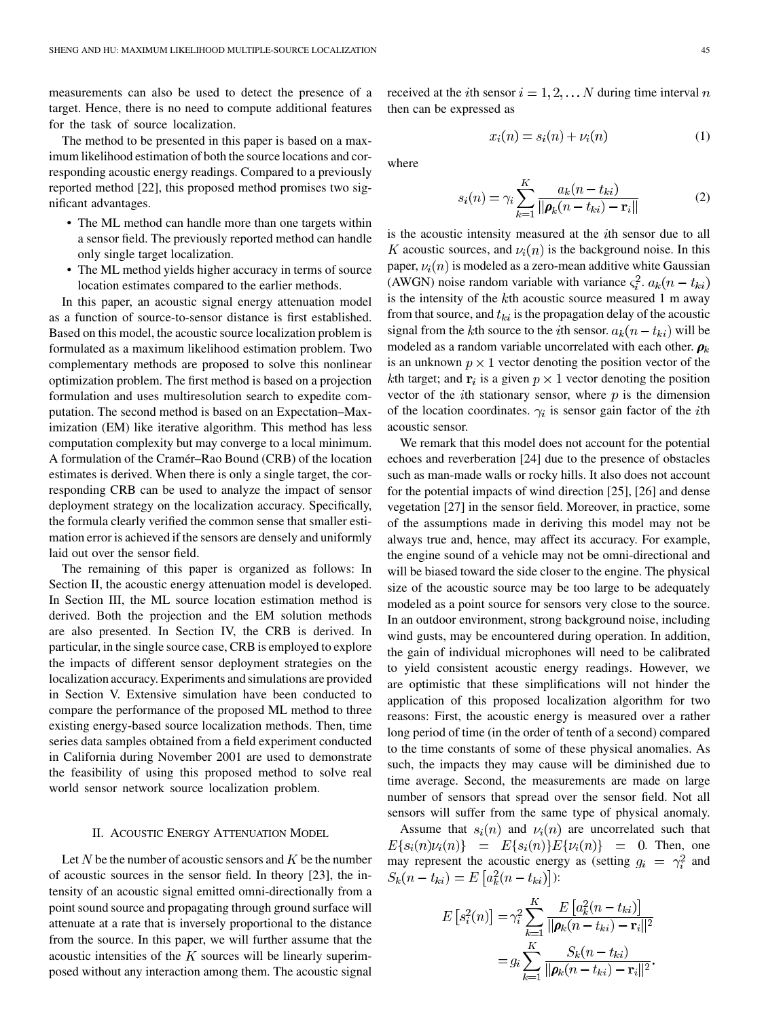measurements can also be used to detect the presence of a target. Hence, there is no need to compute additional features for the task of source localization.

The method to be presented in this paper is based on a maximum likelihood estimation of both the source locations and corresponding acoustic energy readings. Compared to a previously reported method [\[22](#page-9-0)], this proposed method promises two significant advantages.

- The ML method can handle more than one targets within a sensor field. The previously reported method can handle only single target localization.
- The ML method yields higher accuracy in terms of source location estimates compared to the earlier methods.

In this paper, an acoustic signal energy attenuation model as a function of source-to-sensor distance is first established. Based on this model, the acoustic source localization problem is formulated as a maximum likelihood estimation problem. Two complementary methods are proposed to solve this nonlinear optimization problem. The first method is based on a projection formulation and uses multiresolution search to expedite computation. The second method is based on an Expectation–Maximization (EM) like iterative algorithm. This method has less computation complexity but may converge to a local minimum. A formulation of the Cramér–Rao Bound (CRB) of the location estimates is derived. When there is only a single target, the corresponding CRB can be used to analyze the impact of sensor deployment strategy on the localization accuracy. Specifically, the formula clearly verified the common sense that smaller estimation error is achieved if the sensors are densely and uniformly laid out over the sensor field.

The remaining of this paper is organized as follows: In Section II, the acoustic energy attenuation model is developed. In Section III, the ML source location estimation method is derived. Both the projection and the EM solution methods are also presented. In Section IV, the CRB is derived. In particular, in the single source case, CRB is employed to explore the impacts of different sensor deployment strategies on the localization accuracy. Experiments and simulations are provided in Section V. Extensive simulation have been conducted to compare the performance of the proposed ML method to three existing energy-based source localization methods. Then, time series data samples obtained from a field experiment conducted in California during November 2001 are used to demonstrate the feasibility of using this proposed method to solve real world sensor network source localization problem.

## II. ACOUSTIC ENERGY ATTENUATION MODEL

Let  $N$  be the number of acoustic sensors and  $K$  be the number of acoustic sources in the sensor field. In theory [\[23](#page-9-0)], the intensity of an acoustic signal emitted omni-directionally from a point sound source and propagating through ground surface will attenuate at a rate that is inversely proportional to the distance from the source. In this paper, we will further assume that the acoustic intensities of the  $K$  sources will be linearly superimposed without any interaction among them. The acoustic signal received at the *i*th sensor  $i = 1, 2, \dots N$  during time interval *n* then can be expressed as

$$
x_i(n) = s_i(n) + \nu_i(n) \tag{1}
$$

where

$$
s_i(n) = \gamma_i \sum_{k=1}^{K} \frac{a_k(n - t_{ki})}{\|\rho_k(n - t_{ki}) - \mathbf{r}_i\|}
$$
(2)

is the acoustic intensity measured at the  $i$ th sensor due to all K acoustic sources, and  $\nu_i(n)$  is the background noise. In this paper,  $\nu_i(n)$  is modeled as a zero-mean additive white Gaussian (AWGN) noise random variable with variance  $\zeta_i^2$ .  $a_k(n - t_{ki})$ is the intensity of the  $k$ th acoustic source measured 1 m away from that source, and  $t_{ki}$  is the propagation delay of the acoustic signal from the kth source to the *i*th sensor.  $a_k(n - t_{ki})$  will be modeled as a random variable uncorrelated with each other.  $\rho_k$ is an unknown  $p \times 1$  vector denoting the position vector of the kth target; and  $\mathbf{r}_i$  is a given  $p \times 1$  vector denoting the position vector of the  $i$ th stationary sensor, where  $p$  is the dimension of the location coordinates.  $\gamma_i$  is sensor gain factor of the *i*th acoustic sensor.

We remark that this model does not account for the potential echoes and reverberation [\[24](#page-9-0)] due to the presence of obstacles such as man-made walls or rocky hills. It also does not account for the potential impacts of wind direction [\[25](#page-9-0)], [[26\]](#page-9-0) and dense vegetation [\[27](#page-9-0)] in the sensor field. Moreover, in practice, some of the assumptions made in deriving this model may not be always true and, hence, may affect its accuracy. For example, the engine sound of a vehicle may not be omni-directional and will be biased toward the side closer to the engine. The physical size of the acoustic source may be too large to be adequately modeled as a point source for sensors very close to the source. In an outdoor environment, strong background noise, including wind gusts, may be encountered during operation. In addition, the gain of individual microphones will need to be calibrated to yield consistent acoustic energy readings. However, we are optimistic that these simplifications will not hinder the application of this proposed localization algorithm for two reasons: First, the acoustic energy is measured over a rather long period of time (in the order of tenth of a second) compared to the time constants of some of these physical anomalies. As such, the impacts they may cause will be diminished due to time average. Second, the measurements are made on large number of sensors that spread over the sensor field. Not all sensors will suffer from the same type of physical anomaly.

Assume that  $s_i(n)$  and  $\nu_i(n)$  are uncorrelated such that  $E\{s_i(n)\nu_i(n)\} = E\{s_i(n)\}E\{\nu_i(n)\} = 0$ . Then, one may represent the acoustic energy as (setting  $g_i = \gamma_i^2$  and  $S_k(n-t_{ki}) = E\left[a_k^2(n-t_{ki})\right]$ :

$$
E\left[s_i^2(n)\right] = \gamma_i^2 \sum_{k=1}^K \frac{E\left[a_k^2(n - t_{ki})\right]}{\|\boldsymbol{\rho}_k(n - t_{ki}) - \mathbf{r}_i\|^2}
$$

$$
= g_i \sum_{k=1}^K \frac{S_k(n - t_{ki})}{\|\boldsymbol{\rho}_k(n - t_{ki}) - \mathbf{r}_i\|^2}
$$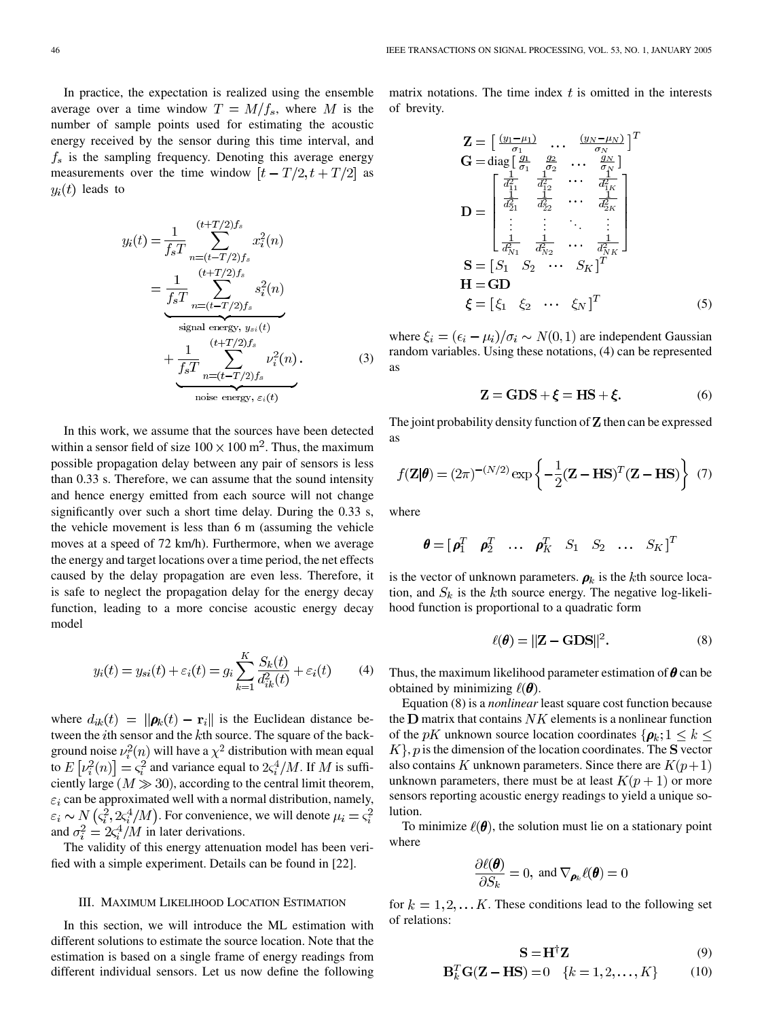In practice, the expectation is realized using the ensemble average over a time window  $T = M/f_s$ , where M is the number of sample points used for estimating the acoustic energy received by the sensor during this time interval, and  $f_s$  is the sampling frequency. Denoting this average energy measurements over the time window  $[t - T/2, t + T/2]$  as  $y_i(t)$  leads to

$$
y_i(t) = \frac{1}{f_s T} \sum_{n=(t-T/2)f_s}^{(t+T/2)f_s} x_i^2(n)
$$
  
= 
$$
\underbrace{\frac{1}{f_s T} \sum_{n=(t-T/2)f_s}^{(t+T/2)f_s} s_i^2(n)}_{\text{signal energy, } y_{si}(t)}
$$
  
+ 
$$
\underbrace{\frac{1}{f_s T} \sum_{n=(t-T/2)f_s}^{(t+T/2)f_s} \nu_i^2(n)}_{\text{noise energy, } \varepsilon_i(t)}.
$$
 (3)

In this work, we assume that the sources have been detected within a sensor field of size  $100 \times 100$  m<sup>2</sup>. Thus, the maximum possible propagation delay between any pair of sensors is less than 0.33 s. Therefore, we can assume that the sound intensity and hence energy emitted from each source will not change significantly over such a short time delay. During the 0.33 s, the vehicle movement is less than 6 m (assuming the vehicle moves at a speed of 72 km/h). Furthermore, when we average the energy and target locations over a time period, the net effects caused by the delay propagation are even less. Therefore, it is safe to neglect the propagation delay for the energy decay function, leading to a more concise acoustic energy decay model

$$
y_i(t) = y_{si}(t) + \varepsilon_i(t) = g_i \sum_{k=1}^{K} \frac{S_k(t)}{d_{ik}^2(t)} + \varepsilon_i(t)
$$
 (4)

where  $d_{ik}(t) = ||\boldsymbol{\rho}_k(t) - \mathbf{r}_i||$  is the Euclidean distance between the  $i$ th sensor and the  $k$ th source. The square of the background noise  $\nu_i^2(n)$  will have a  $\chi^2$  distribution with mean equal to  $E[\nu_i^2(n)] = \varsigma_i^2$  and variance equal to  $2\varsigma_i^4/M$ . If M is sufficiently large  $(M \gg 30)$ , according to the central limit theorem,  $\varepsilon_i$  can be approximated well with a normal distribution, namely,  $\varepsilon_i \sim N\left(\varsigma_i^2, 2\varsigma_i^4/M\right)$ . For convenience, we will denote  $\mu_i = \varsigma_i^2$ and  $\sigma_i^2 = 2\varsigma_i^4/M$  in later derivations.

The validity of this energy attenuation model has been verified with a simple experiment. Details can be found in [\[22](#page-9-0)].

#### III. MAXIMUM LIKELIHOOD LOCATION ESTIMATION

In this section, we will introduce the ML estimation with different solutions to estimate the source location. Note that the estimation is based on a single frame of energy readings from different individual sensors. Let us now define the following

matrix notations. The time index  $t$  is omitted in the interests of brevity.

$$
\mathbf{Z} = \begin{bmatrix} \frac{(y_1 - \mu_1)}{\sigma_1} & \cdots & \frac{(y_N - \mu_N)}{\sigma_N} \end{bmatrix}^T
$$
  
\n
$$
\mathbf{G} = \text{diag} \begin{bmatrix} \frac{g_1}{\sigma_1} & \frac{g_2}{\sigma_2} & \cdots & \frac{g_N}{\sigma_N} \end{bmatrix}
$$
  
\n
$$
\mathbf{D} = \begin{bmatrix} \frac{1}{d_{11}^2} & \frac{1}{d_{12}^2} & \cdots & \frac{1}{d_{1K}^2} \\ \frac{1}{d_{21}^2} & \frac{1}{d_{22}^2} & \cdots & \frac{1}{d_{2K}^2} \\ \vdots & \vdots & \ddots & \vdots \\ \frac{1}{d_{N1}^2} & \frac{1}{d_{N2}^2} & \cdots & \frac{1}{d_{NK}^2} \end{bmatrix}
$$
  
\n
$$
\mathbf{S} = \begin{bmatrix} S_1 & S_2 & \cdots & S_K \end{bmatrix}^T
$$
  
\n
$$
\mathbf{H} = \mathbf{G} \mathbf{D}
$$
  
\n
$$
\boldsymbol{\xi} = \begin{bmatrix} \xi_1 & \xi_2 & \cdots & \xi_N \end{bmatrix}^T
$$
 (5)

where  $\xi_i = (\epsilon_i - \mu_i)/\sigma_i \sim N(0, 1)$  are independent Gaussian random variables. Using these notations, (4) can be represented as

$$
Z = GDS + \xi = HS + \xi. \tag{6}
$$

The joint probability density function of  $Z$  then can be expressed as

$$
f(\mathbf{Z}|\boldsymbol{\theta}) = (2\pi)^{-(N/2)} \exp\left\{-\frac{1}{2}(\mathbf{Z} - \mathbf{H}\mathbf{S})^T(\mathbf{Z} - \mathbf{H}\mathbf{S})\right\}
$$
 (7)

where

$$
\boldsymbol{\theta} = [\boldsymbol{\rho}_1^T \quad \boldsymbol{\rho}_2^T \quad \dots \quad \boldsymbol{\rho}_K^T \quad S_1 \quad S_2 \quad \dots \quad S_K]^T
$$

is the vector of unknown parameters.  $\rho_k$  is the kth source location, and  $S_k$  is the kth source energy. The negative log-likelihood function is proportional to a quadratic form

$$
\ell(\boldsymbol{\theta}) = ||\mathbf{Z} - \mathbf{GDS}||^2. \tag{8}
$$

Thus, the maximum likelihood parameter estimation of  $\theta$  can be obtained by minimizing  $\ell(\boldsymbol{\theta})$ .

Equation (8) is a *nonlinear* least square cost function because the  **matrix that contains**  $NK$  **elements is a nonlinear function** of the pK unknown source location coordinates  $\{\boldsymbol{\rho}_k; 1 \leq k \leq \}$  $K$ , p is the dimension of the location coordinates. The S vector also contains K unknown parameters. Since there are  $K(p+1)$ unknown parameters, there must be at least  $K(p + 1)$  or more sensors reporting acoustic energy readings to yield a unique solution.

To minimize  $\ell(\theta)$ , the solution must lie on a stationary point where

$$
\frac{\partial \ell(\boldsymbol{\theta})}{\partial S_k} = 0, \text{ and } \nabla_{\boldsymbol{\rho}_k} \ell(\boldsymbol{\theta}) = 0
$$

for  $k = 1, 2, \dots K$ . These conditions lead to the following set of relations:

$$
\mathbf{S} = \mathbf{H}^{\dagger} \mathbf{Z} \tag{9}
$$

$$
\mathbf{B}_k^T \mathbf{G}(\mathbf{Z} - \mathbf{H}\mathbf{S}) = 0 \quad \{k = 1, 2, ..., K\} \tag{10}
$$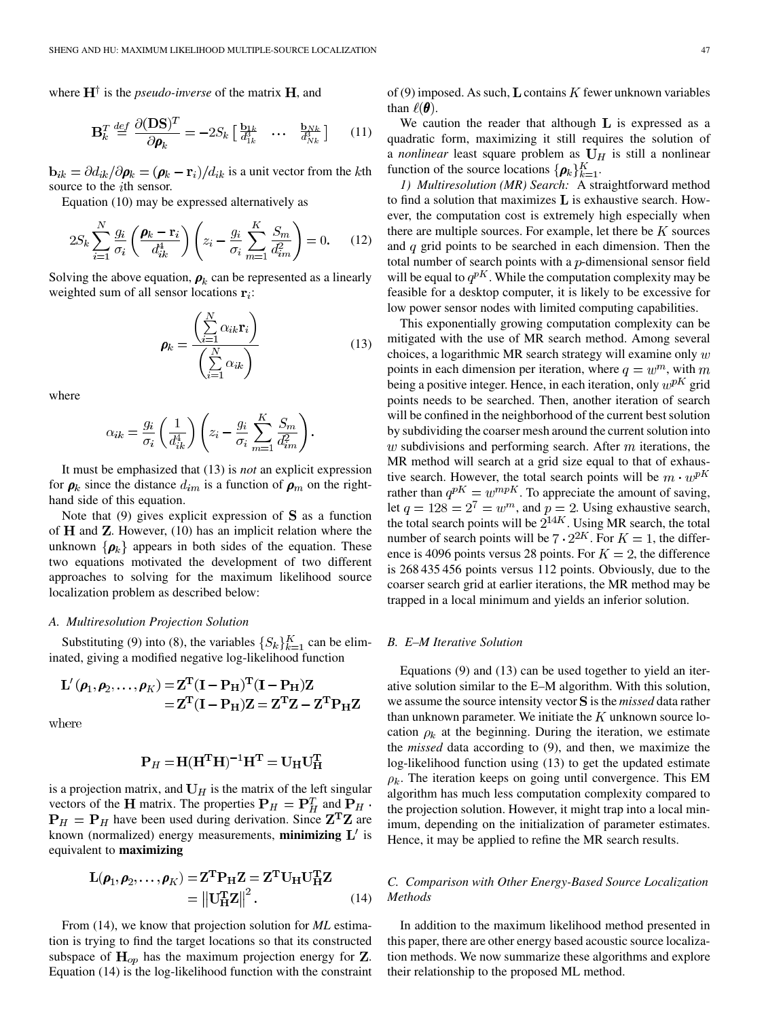where  $H^{\dagger}$  is the *pseudo-inverse* of the matrix H, and

$$
\mathbf{B}_k^T \stackrel{\text{def}}{=} \frac{\partial (\mathbf{D} \mathbf{S})^T}{\partial \rho_k} = -2S_k \begin{bmatrix} \frac{\mathbf{b}_{1k}}{d_{1k}^3} & \dots & \frac{\mathbf{b}_{Nk}}{d_{Nk}^3} \end{bmatrix} \tag{11}
$$

 $\mathbf{b}_{ik} = \partial d_{ik}/\partial \rho_k = (\rho_k - \mathbf{r}_i)/d_{ik}$  is a unit vector from the kth source to the *i*th sensor.

Equation (10) may be expressed alternatively as

$$
2S_k \sum_{i=1}^N \frac{g_i}{\sigma_i} \left( \frac{\rho_k - \mathbf{r}_i}{d_{ik}^4} \right) \left( z_i - \frac{g_i}{\sigma_i} \sum_{m=1}^K \frac{S_m}{d_{im}^2} \right) = 0. \tag{12}
$$

Solving the above equation,  $\rho_k$  can be represented as a linearly weighted sum of all sensor locations  $r_i$ :

$$
\rho_k = \frac{\left(\sum\limits_{i=1}^N \alpha_{ik} \mathbf{r}_i\right)}{\left(\sum\limits_{i=1}^N \alpha_{ik}\right)}
$$
(13)

where

$$
\alpha_{ik} = \frac{g_i}{\sigma_i} \left( \frac{1}{d_{ik}^4} \right) \left( z_i - \frac{g_i}{\sigma_i} \sum_{m=1}^K \frac{S_m}{d_{im}^2} \right).
$$

It must be emphasized that (13) is *not* an explicit expression for  $\rho_k$  since the distance  $d_{im}$  is a function of  $\rho_m$  on the righthand side of this equation.

Note that (9) gives explicit expression of  $S$  as a function of  $H$  and  $Z$ . However, (10) has an implicit relation where the unknown  $\{\boldsymbol{\rho}_k\}$  appears in both sides of the equation. These two equations motivated the development of two different approaches to solving for the maximum likelihood source localization problem as described below:

## *A. Multiresolution Projection Solution*

Substituting (9) into (8), the variables  $\{S_k\}_{k=1}^K$  can be eliminated, giving a modified negative log-likelihood function

$$
\begin{aligned} \mathbf{L}'\left(\rho_1,\rho_2,\ldots,\rho_K\right) =&\,\mathbf{Z}^\mathrm{T}(\mathbf{I}-\mathbf{P}_\mathbf{H})^\mathrm{T}(\mathbf{I}-\mathbf{P}_\mathbf{H})\mathbf{Z} \\ =&\,\mathbf{Z}^\mathrm{T}(\mathbf{I}-\mathbf{P}_\mathbf{H})\mathbf{Z} = \mathbf{Z}^\mathrm{T}\mathbf{Z} - \mathbf{Z}^\mathrm{T}\mathbf{P}_\mathbf{H}\mathbf{Z} \end{aligned}
$$

where

$$
\mathbf{P}_H = \mathbf{H}(\mathbf{H}^{\mathrm{T}}\mathbf{H})^{-1}\mathbf{H}^{\mathrm{T}} = \mathbf{U}_{\mathbf{H}}\mathbf{U}_{\mathbf{H}}^{\mathrm{T}}
$$

is a projection matrix, and  $U_H$  is the matrix of the left singular vectors of the H matrix. The properties  $P_H = P_H^T$  and  $P_H$ .  $P_H = P_H$  have been used during derivation. Since  $Z^T Z$  are known (normalized) energy measurements, **minimizing**  $L'$  is equivalent to **maximizing**

$$
\mathbf{L}(\boldsymbol{\rho}_1, \boldsymbol{\rho}_2, \dots, \boldsymbol{\rho}_K) = \mathbf{Z}^{\mathrm{T}} \mathbf{P}_{\mathrm{H}} \mathbf{Z} = \mathbf{Z}^{\mathrm{T}} \mathbf{U}_{\mathrm{H}} \mathbf{U}_{\mathrm{H}}^{\mathrm{T}} \mathbf{Z}
$$

$$
= \left\| \mathbf{U}_{\mathrm{H}}^{\mathrm{T}} \mathbf{Z} \right\|^2. \tag{14}
$$

From (14), we know that projection solution for *ML* estimation is trying to find the target locations so that its constructed subspace of  $H_{op}$  has the maximum projection energy for Z. Equation (14) is the log-likelihood function with the constraint of (9) imposed. As such, L contains  $K$  fewer unknown variables than  $\ell(\boldsymbol{\theta})$ .

We caution the reader that although  $L$  is expressed as a quadratic form, maximizing it still requires the solution of a *nonlinear* least square problem as  $U_H$  is still a nonlinear function of the source locations  $\{\boldsymbol{\rho}_k\}_{k=1}^K$ .

*1) Multiresolution (MR) Search:* A straightforward method to find a solution that maximizes  $L$  is exhaustive search. However, the computation cost is extremely high especially when there are multiple sources. For example, let there be  $K$  sources and  $q$  grid points to be searched in each dimension. Then the total number of search points with a  $p$ -dimensional sensor field will be equal to  $q^{pK}$ . While the computation complexity may be feasible for a desktop computer, it is likely to be excessive for low power sensor nodes with limited computing capabilities.

This exponentially growing computation complexity can be mitigated with the use of MR search method. Among several choices, a logarithmic MR search strategy will examine only  $w$ points in each dimension per iteration, where  $q = w^m$ , with m being a positive integer. Hence, in each iteration, only  $w^{pK}$  grid points needs to be searched. Then, another iteration of search will be confined in the neighborhood of the current best solution by subdividing the coarser mesh around the current solution into  $w$  subdivisions and performing search. After  $m$  iterations, the MR method will search at a grid size equal to that of exhaustive search. However, the total search points will be  $m \cdot w^{pK}$ rather than  $q^{pK} = w^{mpK}$ . To appreciate the amount of saving, let  $q = 128 = 2^7 = w^m$ , and  $p = 2$ . Using exhaustive search, the total search points will be  $2^{14K}$ . Using MR search, the total number of search points will be  $7 \cdot 2^{2K}$ . For  $K = 1$ , the difference is 4096 points versus 28 points. For  $K = 2$ , the difference is 268 435 456 points versus 112 points. Obviously, due to the coarser search grid at earlier iterations, the MR method may be trapped in a local minimum and yields an inferior solution.

# *B. E–M Iterative Solution*

Equations (9) and (13) can be used together to yield an iterative solution similar to the E–M algorithm. With this solution, we assume the source intensity vector S is the *missed* data rather than unknown parameter. We initiate the  $K$  unknown source location  $\rho_k$  at the beginning. During the iteration, we estimate the *missed* data according to (9), and then, we maximize the log-likelihood function using (13) to get the updated estimate  $\rho_k$ . The iteration keeps on going until convergence. This EM algorithm has much less computation complexity compared to the projection solution. However, it might trap into a local minimum, depending on the initialization of parameter estimates. Hence, it may be applied to refine the MR search results.

# *C. Comparison with Other Energy-Based Source Localization Methods*

In addition to the maximum likelihood method presented in this paper, there are other energy based acoustic source localization methods. We now summarize these algorithms and explore their relationship to the proposed ML method.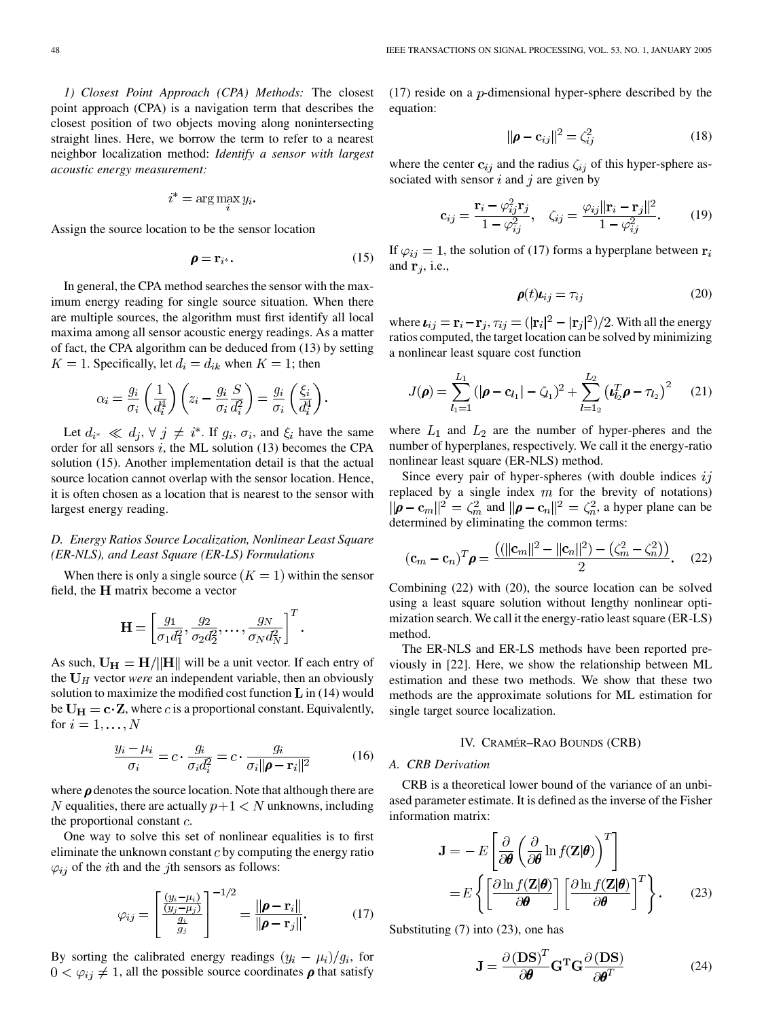*1) Closest Point Approach (CPA) Methods:* The closest point approach (CPA) is a navigation term that describes the closest position of two objects moving along nonintersecting straight lines. Here, we borrow the term to refer to a nearest neighbor localization method: *Identify a sensor with largest acoustic energy measurement:*

$$
i^* = \arg\max y_i.
$$

Assign the source location to be the sensor location

$$
\rho = \mathbf{r}_{i^*}.\tag{15}
$$

In general, the CPA method searches the sensor with the maximum energy reading for single source situation. When there are multiple sources, the algorithm must first identify all local maxima among all sensor acoustic energy readings. As a matter of fact, the CPA algorithm can be deduced from (13) by setting  $K = 1$ . Specifically, let  $d_i = d_{ik}$  when  $K = 1$ ; then

$$
\alpha_i = \frac{g_i}{\sigma_i} \left( \frac{1}{d_i^4} \right) \left( z_i - \frac{g_i}{\sigma_i} \frac{S}{d_i^2} \right) = \frac{g_i}{\sigma_i} \left( \frac{\xi_i}{d_i^4} \right).
$$

Let  $d_{i^*} \ll d_j$ ,  $\forall j \neq i^*$ . If  $g_i$ ,  $\sigma_i$ , and  $\xi_i$  have the same order for all sensors  $i$ , the ML solution (13) becomes the CPA solution (15). Another implementation detail is that the actual source location cannot overlap with the sensor location. Hence, it is often chosen as a location that is nearest to the sensor with largest energy reading.

# *D. Energy Ratios Source Localization, Nonlinear Least Square (ER-NLS), and Least Square (ER-LS) Formulations*

When there is only a single source  $(K = 1)$  within the sensor field, the  $H$  matrix become a vector

$$
\mathbf{H} = \left[\frac{g_1}{\sigma_1 d_1^2}, \frac{g_2}{\sigma_2 d_2^2}, \dots, \frac{g_N}{\sigma_N d_N^2}\right]^T.
$$

As such,  $U_H = H/||H||$  will be a unit vector. If each entry of the  $U_H$  vector *were* an independent variable, then an obviously solution to maximize the modified cost function  $L$  in (14) would be  $U_H = c \cdot Z$ , where c is a proportional constant. Equivalently, for  $i=1,\ldots,N$ 

$$
\frac{y_i - \mu_i}{\sigma_i} = c \cdot \frac{g_i}{\sigma_i d_i^2} = c \cdot \frac{g_i}{\sigma_i ||\boldsymbol{\rho} - \mathbf{r}_i||^2}
$$
(16)

where  $\rho$  denotes the source location. Note that although there are N equalities, there are actually  $p+1 < N$  unknowns, including the proportional constant  $c$ .

One way to solve this set of nonlinear equalities is to first eliminate the unknown constant  $\bar{c}$  by computing the energy ratio  $\varphi_{ij}$  of the *i*th and the *j*th sensors as follows:

$$
\varphi_{ij} = \left[\frac{\frac{(y_i - \mu_i)}{(y_j - \mu_j)}}{\frac{g_i}{g_j}}\right]^{-1/2} = \frac{\|\boldsymbol{\rho} - \mathbf{r}_i\|}{\|\boldsymbol{\rho} - \mathbf{r}_j\|}.
$$
 (17)

By sorting the calibrated energy readings  $(y_i - \mu_i)/g_i$ , for  $0 < \varphi_{ij} \neq 1$ , all the possible source coordinates  $\rho$  that satisfy

(17) reside on a  $p$ -dimensional hyper-sphere described by the equation:

$$
\|\boldsymbol{\rho} - \mathbf{c}_{ij}\|^2 = \zeta_{ij}^2 \tag{18}
$$

where the center  $c_{ij}$  and the radius  $\zeta_{ij}$  of this hyper-sphere associated with sensor  $i$  and  $j$  are given by

$$
\mathbf{c}_{ij} = \frac{\mathbf{r}_i - \varphi_{ij}^2 \mathbf{r}_j}{1 - \varphi_{ij}^2}, \quad \zeta_{ij} = \frac{\varphi_{ij} ||\mathbf{r}_i - \mathbf{r}_j||^2}{1 - \varphi_{ij}^2}.
$$
 (19)

If  $\varphi_{ij} = 1$ , the solution of (17) forms a hyperplane between  $\mathbf{r}_i$ and  $\mathbf{r}_i$ , i.e.,

$$
\mathbf{D}(t)\mathbf{L}_{ij} = \tau_{ij} \tag{20}
$$

where  $\mathbf{L}_{ij} = \mathbf{r}_i - \mathbf{r}_j$ ,  $\tau_{ij} = (|\mathbf{r}_i|^2 - |\mathbf{r}_j|^2)/2$ . With all the energy ratios computed, the target location can be solved by minimizing a nonlinear least square cost function

$$
J(\boldsymbol{\rho}) = \sum_{l_1=1}^{L_1} (|\boldsymbol{\rho} - \mathbf{c}_{l_1}| - \zeta_{l_1})^2 + \sum_{l=1_2}^{L_2} (t_{l_2}^T \boldsymbol{\rho} - \tau_{l_2})^2 \qquad (21)
$$

where  $L_1$  and  $L_2$  are the number of hyper-pheres and the number of hyperplanes, respectively. We call it the energy-ratio nonlinear least square (ER-NLS) method.

Since every pair of hyper-spheres (with double indices  $ij$ replaced by a single index  $m$  for the brevity of notations)  $\|\boldsymbol{\rho} - \mathbf{c}_m\|^2 = \zeta_m^2$  and  $\|\boldsymbol{\rho} - \mathbf{c}_n\|^2 = \zeta_m^2$ , a hyper plane can be determined by eliminating the common terms:

$$
(\mathbf{c}_m - \mathbf{c}_n)^T \boldsymbol{\rho} = \frac{((\|\mathbf{c}_m\|^2 - \|\mathbf{c}_n\|^2) - (\zeta_m^2 - \zeta_n^2))}{2}.
$$
 (22)

Combining (22) with (20), the source location can be solved using a least square solution without lengthy nonlinear optimization search. We call it the energy-ratio least square (ER-LS) method.

The ER-NLS and ER-LS methods have been reported previously in [\[22](#page-9-0)]. Here, we show the relationship between ML estimation and these two methods. We show that these two methods are the approximate solutions for ML estimation for single target source localization.

## IV. CRAMÉR–RAO BOUNDS (CRB)

## *A. CRB Derivation*

CRB is a theoretical lower bound of the variance of an unbiased parameter estimate. It is defined as the inverse of the Fisher information matrix:

$$
\mathbf{J} = -E \left[ \frac{\partial}{\partial \theta} \left( \frac{\partial}{\partial \theta} \ln f(\mathbf{Z} | \theta) \right)^{T} \right] \n= E \left\{ \left[ \frac{\partial \ln f(\mathbf{Z} | \theta)}{\partial \theta} \right] \left[ \frac{\partial \ln f(\mathbf{Z} | \theta)}{\partial \theta} \right]^{T} \right\}.
$$
\n(23)

Substituting (7) into (23), one has

$$
\mathbf{J} = \frac{\partial (\mathbf{DS})^T}{\partial \theta} \mathbf{G}^T \mathbf{G} \frac{\partial (\mathbf{DS})}{\partial \theta^T}
$$
(24)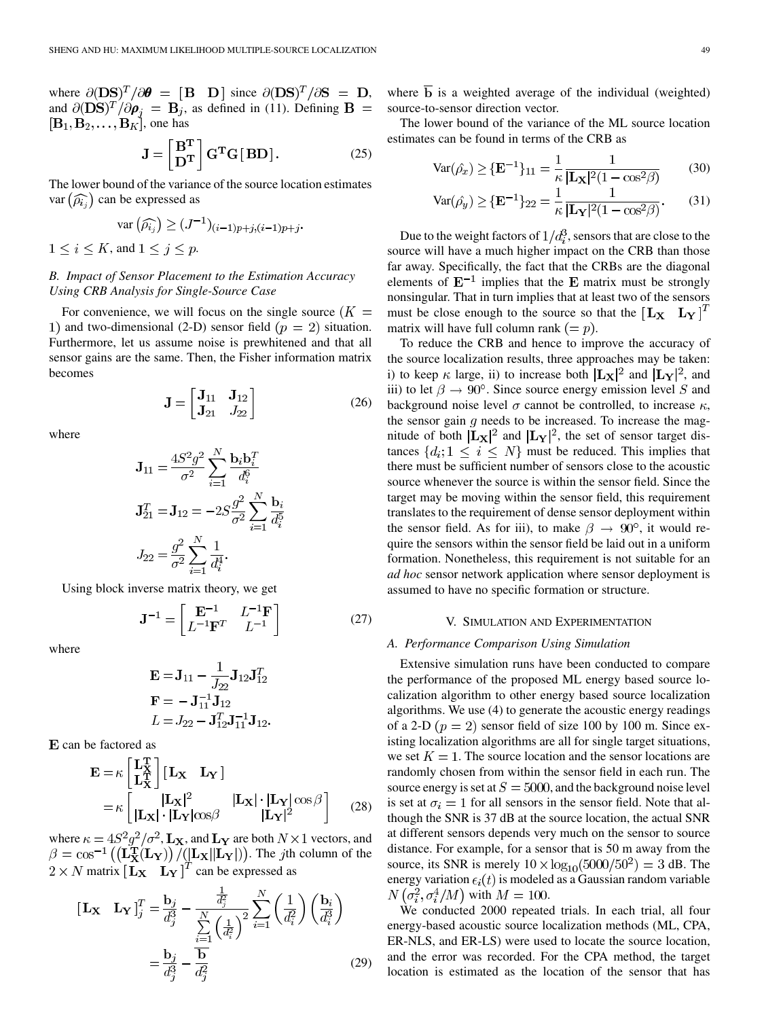where  $\partial (DS)^T / \partial \theta = [\mathbf{B} \ \mathbf{D}]$  since  $\partial (DS)^T / \partial \mathbf{S} = \mathbf{D}$ , and  $\partial (\mathbf{DS})^T / \partial \boldsymbol{\rho}_i = \mathbf{B}_i$ , as defined in (11). Defining , one has

$$
\mathbf{J} = \begin{bmatrix} \mathbf{B}^{\mathbf{T}} \\ \mathbf{D}^{\mathbf{T}} \end{bmatrix} \mathbf{G}^{\mathbf{T}} \mathbf{G} \begin{bmatrix} \mathbf{B} \mathbf{D} \end{bmatrix}.
$$
 (25)

The lower bound of the variance of the source location estimates var  $(\widehat{\rho}_{i_j})$  can be expressed as

$$
\text{var}\left(\widehat{\rho_{i_j}}\right) \ge (J^{-1})_{(i-1)p+j,(i-1)p+j}.
$$

 $1 \leq i \leq K$ , and  $1 \leq j \leq p$ .

# *B. Impact of Sensor Placement to the Estimation Accuracy Using CRB Analysis for Single-Source Case*

For convenience, we will focus on the single source  $(K =$ 1) and two-dimensional (2-D) sensor field  $(p = 2)$  situation. Furthermore, let us assume noise is prewhitened and that all sensor gains are the same. Then, the Fisher information matrix becomes

$$
\mathbf{J} = \begin{bmatrix} \mathbf{J}_{11} & \mathbf{J}_{12} \\ \mathbf{J}_{21} & J_{22} \end{bmatrix} \tag{26}
$$

where

$$
\mathbf{J}_{11} = \frac{4S^2 g^2}{\sigma^2} \sum_{i=1}^N \frac{\mathbf{b}_i \mathbf{b}_i^T}{d_i^6}
$$

$$
\mathbf{J}_{21}^T = \mathbf{J}_{12} = -2S \frac{g^2}{\sigma^2} \sum_{i=1}^N \frac{\mathbf{b}_i}{d_i^5}
$$

$$
J_{22} = \frac{g^2}{\sigma^2} \sum_{i=1}^N \frac{1}{d_i^4}.
$$

Using block inverse matrix theory, we get

$$
\mathbf{J}^{-1} = \begin{bmatrix} \mathbf{E}^{-1} & L^{-1}\mathbf{F} \\ L^{-1}\mathbf{F}^T & L^{-1} \end{bmatrix} \tag{27}
$$

where

$$
\mathbf{E} = \mathbf{J}_{11} - \frac{1}{J_{22}} \mathbf{J}_{12} \mathbf{J}_{12}^T
$$

$$
\mathbf{F} = -\mathbf{J}_{11}^{-1} \mathbf{J}_{12}
$$

$$
L = J_{22} - \mathbf{J}_{12}^T \mathbf{J}_{11}^{-1} \mathbf{J}_{12}.
$$

E can be factored as

$$
\mathbf{E} = \kappa \begin{bmatrix} \mathbf{L}_{\mathbf{X}}^{\mathbf{T}} \\ \mathbf{L}_{\mathbf{X}}^{\mathbf{T}} \end{bmatrix} [\mathbf{L}_{\mathbf{X}} \quad \mathbf{L}_{\mathbf{Y}}]
$$

$$
= \kappa \begin{bmatrix} |\mathbf{L}_{\mathbf{X}}|^2 & |\mathbf{L}_{\mathbf{X}}| \cdot |\mathbf{L}_{\mathbf{Y}}| \cos \beta \\ |\mathbf{L}_{\mathbf{X}}| \cdot |\mathbf{L}_{\mathbf{Y}}| \cos \beta & |\mathbf{L}_{\mathbf{Y}}|^2 \end{bmatrix} \tag{28}
$$

where  $\kappa = 4S^2g^2/\sigma^2$ ,  $\mathbf{L}_\mathbf{X}$ , and  $\mathbf{L}_\mathbf{Y}$  are both  $N \times 1$  vectors, and . The  $j$ th column of the matrix  $\begin{bmatrix} L_X & L_Y \end{bmatrix}^T$  can be expressed as

$$
\begin{aligned}\n\left[\mathbf{L}_{\mathbf{X}} \quad \mathbf{L}_{\mathbf{Y}}\right]_{j}^{T} &= \frac{\mathbf{b}_{j}}{d_{j}^{3}} - \frac{\frac{1}{d_{j}^{2}}}{N} \sum_{i=1}^{N} \left(\frac{1}{d_{i}^{2}}\right) \left(\frac{\mathbf{b}_{i}}{d_{i}^{3}}\right) \\
&= \frac{\mathbf{b}_{j}}{d_{j}^{3}} - \frac{\mathbf{b}}{d_{j}^{2}}\n\end{aligned} \tag{29}
$$

where  $\overline{b}$  is a weighted average of the individual (weighted) source-to-sensor direction vector.

The lower bound of the variance of the ML source location estimates can be found in terms of the CRB as

$$
\text{Var}(\hat{\rho}_x) \ge \{ \mathbf{E}^{-1} \}_{11} = \frac{1}{\kappa} \frac{1}{|\mathbf{L}_\mathbf{X}|^2 (1 - \cos^2 \beta)} \tag{30}
$$

$$
\text{Var}(\hat{\rho}_y) \ge \{ \mathbf{E}^{-1} \}_{22} = \frac{1}{\kappa} \frac{1}{|\mathbf{L}_\mathbf{Y}|^2 (1 - \cos^2 \beta)}.
$$
 (31)

Due to the weight factors of  $1/d_i^3$ , sensors that are close to the source will have a much higher impact on the CRB than those far away. Specifically, the fact that the CRBs are the diagonal elements of  $E^{-1}$  implies that the E matrix must be strongly nonsingular. That in turn implies that at least two of the sensors must be close enough to the source so that the  $[\mathbf{L}_X \quad \mathbf{L}_Y]^T$ matrix will have full column rank  $(= p)$ .

To reduce the CRB and hence to improve the accuracy of the source localization results, three approaches may be taken: i) to keep  $\kappa$  large, ii) to increase both  $|\mathbf{L}_X|^2$  and  $|\mathbf{L}_Y|^2$ , and iii) to let  $\beta \rightarrow 90^{\circ}$ . Since source energy emission level S and background noise level  $\sigma$  cannot be controlled, to increase  $\kappa$ , the sensor gain q needs to be increased. To increase the magnitude of both  $|{\bf L_X}|^2$  and  $|{\bf L_Y}|^2$ , the set of sensor target distances  $\{d_i; 1 \leq i \leq N\}$  must be reduced. This implies that there must be sufficient number of sensors close to the acoustic source whenever the source is within the sensor field. Since the target may be moving within the sensor field, this requirement translates to the requirement of dense sensor deployment within the sensor field. As for iii), to make  $\beta \rightarrow 90^{\circ}$ , it would require the sensors within the sensor field be laid out in a uniform formation. Nonetheless, this requirement is not suitable for an *ad hoc* sensor network application where sensor deployment is assumed to have no specific formation or structure.

## V. SIMULATION AND EXPERIMENTATION

## *A. Performance Comparison Using Simulation*

Extensive simulation runs have been conducted to compare the performance of the proposed ML energy based source localization algorithm to other energy based source localization algorithms. We use (4) to generate the acoustic energy readings of a 2-D  $(p = 2)$  sensor field of size 100 by 100 m. Since existing localization algorithms are all for single target situations, we set  $K = 1$ . The source location and the sensor locations are randomly chosen from within the sensor field in each run. The source energy is set at  $S = 5000$ , and the background noise level is set at  $\sigma_i = 1$  for all sensors in the sensor field. Note that although the SNR is 37 dB at the source location, the actual SNR at different sensors depends very much on the sensor to source distance. For example, for a sensor that is 50 m away from the source, its SNR is merely  $10 \times \log_{10}(5000/50^2) = 3$  dB. The energy variation  $\epsilon_i(t)$  is modeled as a Gaussian random variable  $N\left(\sigma_i^2, \sigma_i^4/M\right)$  with  $M = 100$ .

We conducted 2000 repeated trials. In each trial, all four energy-based acoustic source localization methods (ML, CPA, ER-NLS, and ER-LS) were used to locate the source location, and the error was recorded. For the CPA method, the target location is estimated as the location of the sensor that has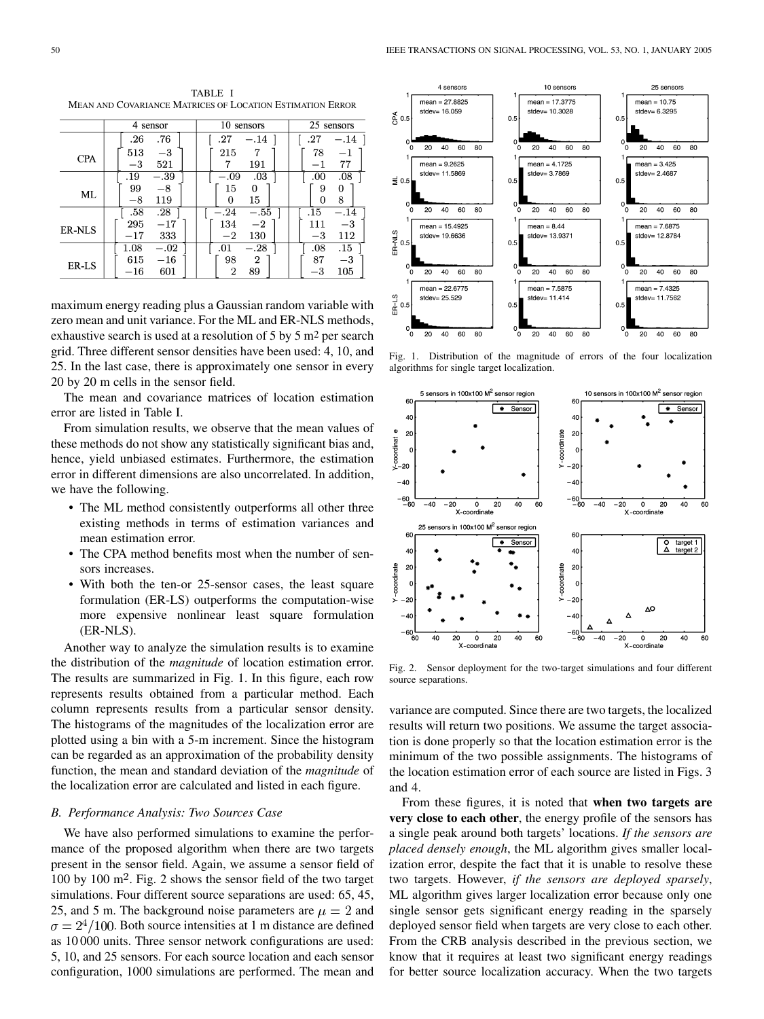|               | 4 sensor            | 10 sensors       | 25 sensors    |
|---------------|---------------------|------------------|---------------|
|               | .76<br>.26          | .27<br>$-.14$    | .27<br>$-.14$ |
| <b>CPA</b>    | 513<br>$^{-3}$      | 215              | 78<br>-1      |
|               | $^{-3}$<br>521      | 191              | 77            |
|               | $-.39$<br>.19       | .03<br>$-.09$    | .08<br>.00    |
| ML            | $-8$<br>99          | 15<br>0          | 9<br>0        |
|               | -8<br>119           | 15               | 8             |
|               | .58<br>.28          | $-.24$<br>$-.55$ | .15<br>$-.14$ |
| <b>ER-NLS</b> | 295<br>$-17$        | 134<br>$-2$      | 111<br>-3     |
|               | 333<br>$^{\rm -17}$ | 130<br>$-2$      | 112<br>$-3$   |
|               | 1.08<br>$-.02$      | $-.28$<br>.01    | .15<br>.08    |
| ER-LS         | 615<br>$-16$        | 98<br>2          | 87<br>$-3$    |
|               | 601<br>$^{-16}$     | 2<br>89          | 105<br>-3     |

MEAN AND COVARIANCE MATRICES OF LOCATION ESTIMATION ERROR

maximum energy reading plus a Gaussian random variable with zero mean and unit variance. For the ML and ER-NLS methods, exhaustive search is used at a resolution of 5 by 5 m2 per search grid. Three different sensor densities have been used: 4, 10, and 25. In the last case, there is approximately one sensor in every 20 by 20 m cells in the sensor field.

The mean and covariance matrices of location estimation error are listed in Table I.

From simulation results, we observe that the mean values of these methods do not show any statistically significant bias and, hence, yield unbiased estimates. Furthermore, the estimation error in different dimensions are also uncorrelated. In addition, we have the following.

- The ML method consistently outperforms all other three existing methods in terms of estimation variances and mean estimation error.
- The CPA method benefits most when the number of sensors increases.
- With both the ten-or 25-sensor cases, the least square formulation (ER-LS) outperforms the computation-wise more expensive nonlinear least square formulation (ER-NLS).

Another way to analyze the simulation results is to examine the distribution of the *magnitude* of location estimation error. The results are summarized in Fig. 1. In this figure, each row represents results obtained from a particular method. Each column represents results from a particular sensor density. The histograms of the magnitudes of the localization error are plotted using a bin with a 5-m increment. Since the histogram can be regarded as an approximation of the probability density function, the mean and standard deviation of the *magnitude* of the localization error are calculated and listed in each figure.

## *B. Performance Analysis: Two Sources Case*

We have also performed simulations to examine the performance of the proposed algorithm when there are two targets present in the sensor field. Again, we assume a sensor field of 100 by 100  $\text{m}^2$ . Fig. 2 shows the sensor field of the two target simulations. Four different source separations are used: 65, 45, 25, and 5 m. The background noise parameters are  $\mu = 2$  and  $\sigma = 2^4/100$ . Both source intensities at 1 m distance are defined as 10 000 units. Three sensor network configurations are used: 5, 10, and 25 sensors. For each source location and each sensor configuration, 1000 simulations are performed. The mean and



Fig. 1. Distribution of the magnitude of errors of the four localization algorithms for single target localization.



Fig. 2. Sensor deployment for the two-target simulations and four different source separations.

variance are computed. Since there are two targets, the localized results will return two positions. We assume the target association is done properly so that the location estimation error is the minimum of the two possible assignments. The histograms of the location estimation error of each source are listed in Figs. 3 and 4.

From these figures, it is noted that **when two targets are very close to each other**, the energy profile of the sensors has a single peak around both targets' locations. *If the sensors are placed densely enough*, the ML algorithm gives smaller localization error, despite the fact that it is unable to resolve these two targets. However, *if the sensors are deployed sparsely*, ML algorithm gives larger localization error because only one single sensor gets significant energy reading in the sparsely deployed sensor field when targets are very close to each other. From the CRB analysis described in the previous section, we know that it requires at least two significant energy readings for better source localization accuracy. When the two targets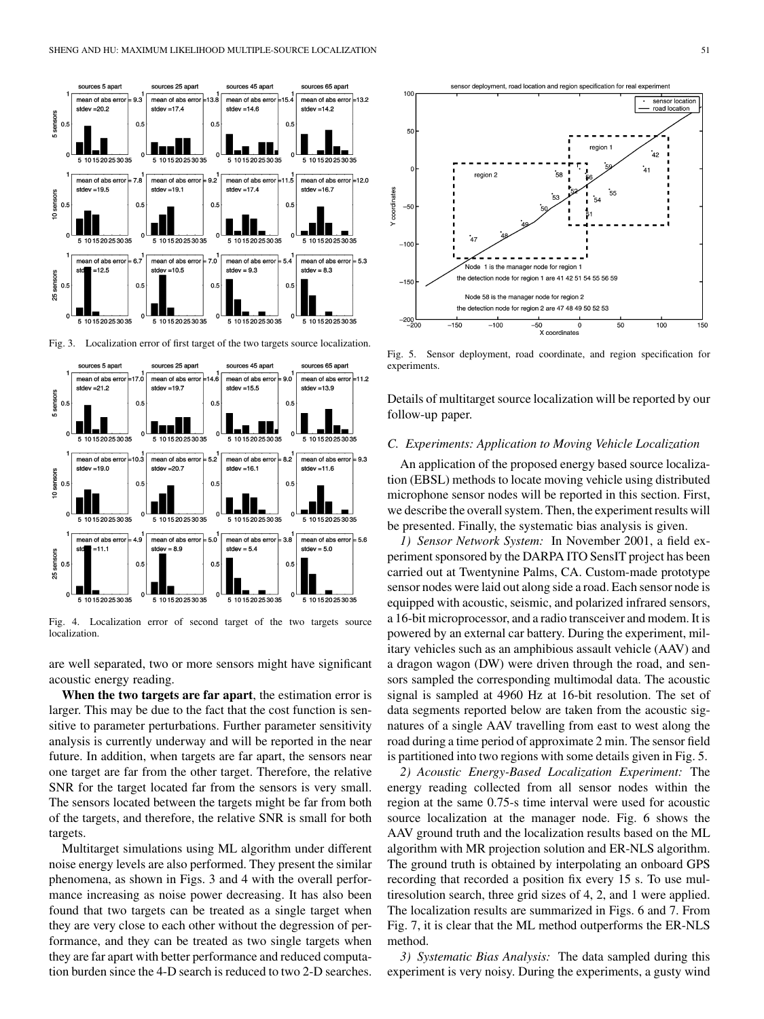

Fig. 3. Localization error of first target of the two targets source localization.



Fig. 4. Localization error of second target of the two targets source localization.

are well separated, two or more sensors might have significant acoustic energy reading.

**When the two targets are far apart**, the estimation error is larger. This may be due to the fact that the cost function is sensitive to parameter perturbations. Further parameter sensitivity analysis is currently underway and will be reported in the near future. In addition, when targets are far apart, the sensors near one target are far from the other target. Therefore, the relative SNR for the target located far from the sensors is very small. The sensors located between the targets might be far from both of the targets, and therefore, the relative SNR is small for both targets.

Multitarget simulations using ML algorithm under different noise energy levels are also performed. They present the similar phenomena, as shown in Figs. 3 and 4 with the overall performance increasing as noise power decreasing. It has also been found that two targets can be treated as a single target when they are very close to each other without the degression of performance, and they can be treated as two single targets when they are far apart with better performance and reduced computation burden since the 4-D search is reduced to two 2-D searches.



Fig. 5. Sensor deployment, road coordinate, and region specification for experiments.

Details of multitarget source localization will be reported by our follow-up paper.

## *C. Experiments: Application to Moving Vehicle Localization*

An application of the proposed energy based source localization (EBSL) methods to locate moving vehicle using distributed microphone sensor nodes will be reported in this section. First, we describe the overall system. Then, the experiment results will be presented. Finally, the systematic bias analysis is given.

*1) Sensor Network System:* In November 2001, a field experiment sponsored by the DARPA ITO SensIT project has been carried out at Twentynine Palms, CA. Custom-made prototype sensor nodes were laid out along side a road. Each sensor node is equipped with acoustic, seismic, and polarized infrared sensors, a 16-bit microprocessor, and a radio transceiver and modem. It is powered by an external car battery. During the experiment, military vehicles such as an amphibious assault vehicle (AAV) and a dragon wagon (DW) were driven through the road, and sensors sampled the corresponding multimodal data. The acoustic signal is sampled at 4960 Hz at 16-bit resolution. The set of data segments reported below are taken from the acoustic signatures of a single AAV travelling from east to west along the road during a time period of approximate 2 min. The sensor field is partitioned into two regions with some details given in Fig. 5.

*2) Acoustic Energy-Based Localization Experiment:* The energy reading collected from all sensor nodes within the region at the same 0.75-s time interval were used for acoustic source localization at the manager node. Fig. 6 shows the AAV ground truth and the localization results based on the ML algorithm with MR projection solution and ER-NLS algorithm. The ground truth is obtained by interpolating an onboard GPS recording that recorded a position fix every 15 s. To use multiresolution search, three grid sizes of 4, 2, and 1 were applied. The localization results are summarized in Figs. 6 and 7. From Fig. 7, it is clear that the ML method outperforms the ER-NLS method.

*3) Systematic Bias Analysis:* The data sampled during this experiment is very noisy. During the experiments, a gusty wind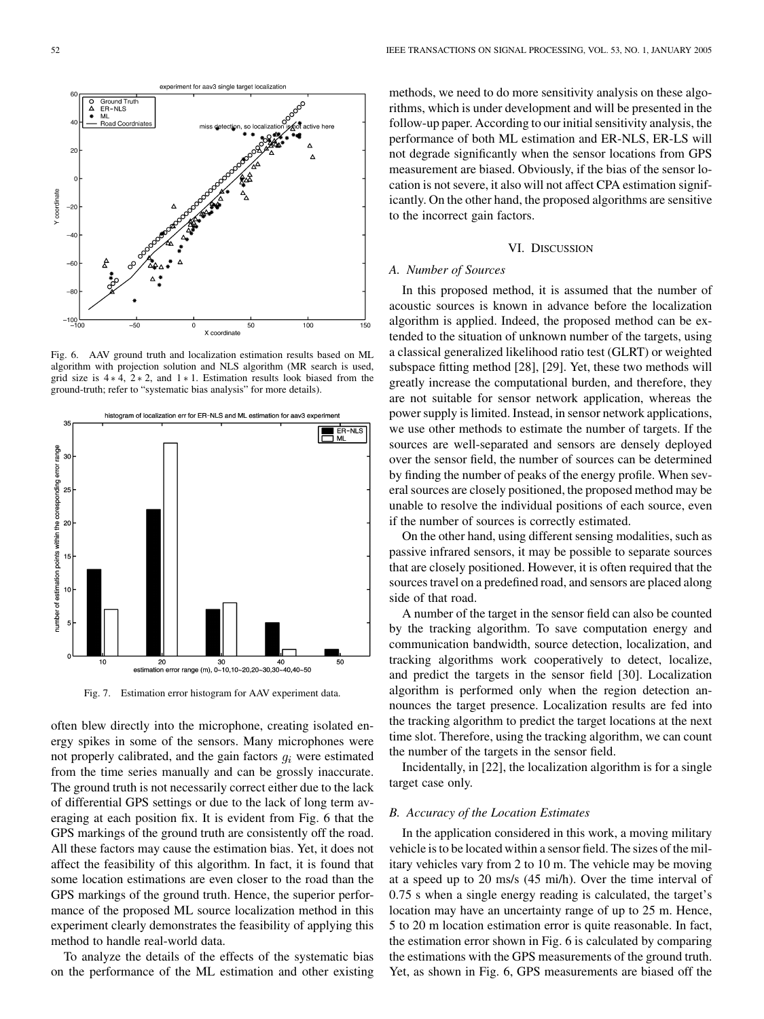

Fig. 6. AAV ground truth and localization estimation results based on ML algorithm with projection solution and NLS algorithm (MR search is used, grid size is  $4 * 4$ ,  $2 * 2$ , and  $1 * 1$ . Estimation results look biased from the ground-truth; refer to "systematic bias analysis" for more details).



Fig. 7. Estimation error histogram for AAV experiment data.

often blew directly into the microphone, creating isolated energy spikes in some of the sensors. Many microphones were not properly calibrated, and the gain factors  $g_i$  were estimated from the time series manually and can be grossly inaccurate. The ground truth is not necessarily correct either due to the lack of differential GPS settings or due to the lack of long term averaging at each position fix. It is evident from Fig. 6 that the GPS markings of the ground truth are consistently off the road. All these factors may cause the estimation bias. Yet, it does not affect the feasibility of this algorithm. In fact, it is found that some location estimations are even closer to the road than the GPS markings of the ground truth. Hence, the superior performance of the proposed ML source localization method in this experiment clearly demonstrates the feasibility of applying this method to handle real-world data.

To analyze the details of the effects of the systematic bias on the performance of the ML estimation and other existing

methods, we need to do more sensitivity analysis on these algorithms, which is under development and will be presented in the follow-up paper. According to our initial sensitivity analysis, the performance of both ML estimation and ER-NLS, ER-LS will not degrade significantly when the sensor locations from GPS measurement are biased. Obviously, if the bias of the sensor location is not severe, it also will not affect CPA estimation significantly. On the other hand, the proposed algorithms are sensitive to the incorrect gain factors.

## VI. DISCUSSION

## *A. Number of Sources*

In this proposed method, it is assumed that the number of acoustic sources is known in advance before the localization algorithm is applied. Indeed, the proposed method can be extended to the situation of unknown number of the targets, using a classical generalized likelihood ratio test (GLRT) or weighted subspace fitting method [\[28](#page-9-0)], [[29\]](#page-9-0). Yet, these two methods will greatly increase the computational burden, and therefore, they are not suitable for sensor network application, whereas the power supply is limited. Instead, in sensor network applications, we use other methods to estimate the number of targets. If the sources are well-separated and sensors are densely deployed over the sensor field, the number of sources can be determined by finding the number of peaks of the energy profile. When several sources are closely positioned, the proposed method may be unable to resolve the individual positions of each source, even if the number of sources is correctly estimated.

On the other hand, using different sensing modalities, such as passive infrared sensors, it may be possible to separate sources that are closely positioned. However, it is often required that the sources travel on a predefined road, and sensors are placed along side of that road.

A number of the target in the sensor field can also be counted by the tracking algorithm. To save computation energy and communication bandwidth, source detection, localization, and tracking algorithms work cooperatively to detect, localize, and predict the targets in the sensor field [[30\]](#page-9-0). Localization algorithm is performed only when the region detection announces the target presence. Localization results are fed into the tracking algorithm to predict the target locations at the next time slot. Therefore, using the tracking algorithm, we can count the number of the targets in the sensor field.

Incidentally, in [[22\]](#page-9-0), the localization algorithm is for a single target case only.

## *B. Accuracy of the Location Estimates*

In the application considered in this work, a moving military vehicle is to be located within a sensor field. The sizes of the military vehicles vary from 2 to 10 m. The vehicle may be moving at a speed up to 20 ms/s (45 mi/h). Over the time interval of 0.75 s when a single energy reading is calculated, the target's location may have an uncertainty range of up to 25 m. Hence, 5 to 20 m location estimation error is quite reasonable. In fact, the estimation error shown in Fig. 6 is calculated by comparing the estimations with the GPS measurements of the ground truth. Yet, as shown in Fig. 6, GPS measurements are biased off the